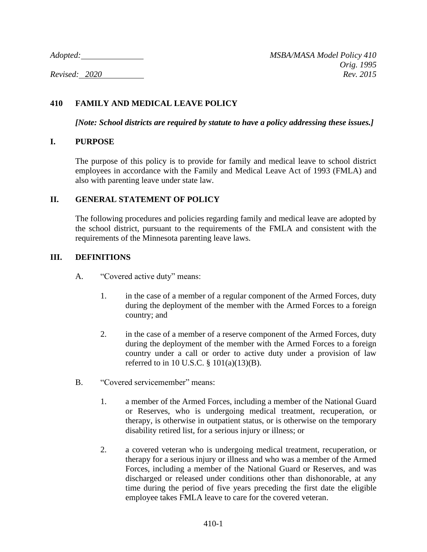# **410 FAMILY AND MEDICAL LEAVE POLICY**

*[Note: School districts are required by statute to have a policy addressing these issues.]*

### **I. PURPOSE**

The purpose of this policy is to provide for family and medical leave to school district employees in accordance with the Family and Medical Leave Act of 1993 (FMLA) and also with parenting leave under state law.

### **II. GENERAL STATEMENT OF POLICY**

The following procedures and policies regarding family and medical leave are adopted by the school district, pursuant to the requirements of the FMLA and consistent with the requirements of the Minnesota parenting leave laws.

### **III. DEFINITIONS**

- A. "Covered active duty" means:
	- 1. in the case of a member of a regular component of the Armed Forces, duty during the deployment of the member with the Armed Forces to a foreign country; and
	- 2. in the case of a member of a reserve component of the Armed Forces, duty during the deployment of the member with the Armed Forces to a foreign country under a call or order to active duty under a provision of law referred to in 10 U.S.C. § 101(a)(13)(B).
- B. "Covered servicemember" means:
	- 1. a member of the Armed Forces, including a member of the National Guard or Reserves, who is undergoing medical treatment, recuperation, or therapy, is otherwise in outpatient status, or is otherwise on the temporary disability retired list, for a serious injury or illness; or
	- 2. a covered veteran who is undergoing medical treatment, recuperation, or therapy for a serious injury or illness and who was a member of the Armed Forces, including a member of the National Guard or Reserves, and was discharged or released under conditions other than dishonorable, at any time during the period of five years preceding the first date the eligible employee takes FMLA leave to care for the covered veteran.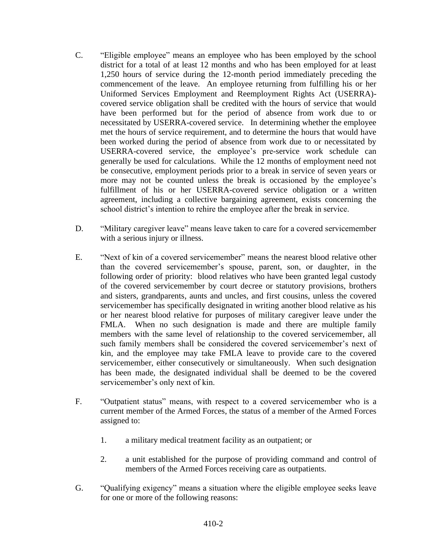- C. "Eligible employee" means an employee who has been employed by the school district for a total of at least 12 months and who has been employed for at least 1,250 hours of service during the 12-month period immediately preceding the commencement of the leave. An employee returning from fulfilling his or her Uniformed Services Employment and Reemployment Rights Act (USERRA) covered service obligation shall be credited with the hours of service that would have been performed but for the period of absence from work due to or necessitated by USERRA-covered service. In determining whether the employee met the hours of service requirement, and to determine the hours that would have been worked during the period of absence from work due to or necessitated by USERRA-covered service, the employee's pre-service work schedule can generally be used for calculations. While the 12 months of employment need not be consecutive, employment periods prior to a break in service of seven years or more may not be counted unless the break is occasioned by the employee's fulfillment of his or her USERRA-covered service obligation or a written agreement, including a collective bargaining agreement, exists concerning the school district's intention to rehire the employee after the break in service.
- D. "Military caregiver leave" means leave taken to care for a covered servicemember with a serious injury or illness.
- E. "Next of kin of a covered servicemember" means the nearest blood relative other than the covered servicemember's spouse, parent, son, or daughter, in the following order of priority: blood relatives who have been granted legal custody of the covered servicemember by court decree or statutory provisions, brothers and sisters, grandparents, aunts and uncles, and first cousins, unless the covered servicemember has specifically designated in writing another blood relative as his or her nearest blood relative for purposes of military caregiver leave under the FMLA. When no such designation is made and there are multiple family members with the same level of relationship to the covered servicemember, all such family members shall be considered the covered servicemember's next of kin, and the employee may take FMLA leave to provide care to the covered servicemember, either consecutively or simultaneously. When such designation has been made, the designated individual shall be deemed to be the covered servicemember's only next of kin.
- F. "Outpatient status" means, with respect to a covered servicemember who is a current member of the Armed Forces, the status of a member of the Armed Forces assigned to:
	- 1. a military medical treatment facility as an outpatient; or
	- 2. a unit established for the purpose of providing command and control of members of the Armed Forces receiving care as outpatients.
- G. "Qualifying exigency" means a situation where the eligible employee seeks leave for one or more of the following reasons: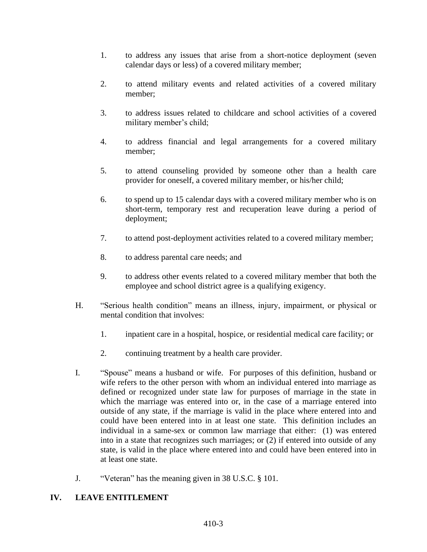- 1. to address any issues that arise from a short-notice deployment (seven calendar days or less) of a covered military member;
- 2. to attend military events and related activities of a covered military member;
- 3. to address issues related to childcare and school activities of a covered military member's child;
- 4. to address financial and legal arrangements for a covered military member;
- 5. to attend counseling provided by someone other than a health care provider for oneself, a covered military member, or his/her child;
- 6. to spend up to 15 calendar days with a covered military member who is on short-term, temporary rest and recuperation leave during a period of deployment;
- 7. to attend post-deployment activities related to a covered military member;
- 8. to address parental care needs; and
- 9. to address other events related to a covered military member that both the employee and school district agree is a qualifying exigency.
- H. "Serious health condition" means an illness, injury, impairment, or physical or mental condition that involves:
	- 1. inpatient care in a hospital, hospice, or residential medical care facility; or
	- 2. continuing treatment by a health care provider.
- I. "Spouse" means a husband or wife. For purposes of this definition, husband or wife refers to the other person with whom an individual entered into marriage as defined or recognized under state law for purposes of marriage in the state in which the marriage was entered into or, in the case of a marriage entered into outside of any state, if the marriage is valid in the place where entered into and could have been entered into in at least one state. This definition includes an individual in a same-sex or common law marriage that either: (1) was entered into in a state that recognizes such marriages; or (2) if entered into outside of any state, is valid in the place where entered into and could have been entered into in at least one state.
- J. "Veteran" has the meaning given in 38 U.S.C. § 101.

# **IV. LEAVE ENTITLEMENT**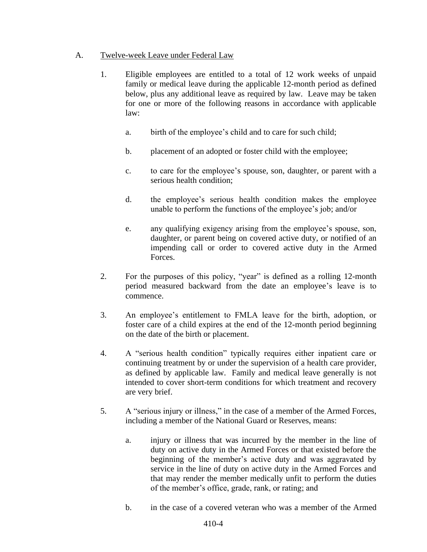# A. Twelve-week Leave under Federal Law

- 1. Eligible employees are entitled to a total of 12 work weeks of unpaid family or medical leave during the applicable 12-month period as defined below, plus any additional leave as required by law. Leave may be taken for one or more of the following reasons in accordance with applicable law:
	- a. birth of the employee's child and to care for such child;
	- b. placement of an adopted or foster child with the employee;
	- c. to care for the employee's spouse, son, daughter, or parent with a serious health condition;
	- d. the employee's serious health condition makes the employee unable to perform the functions of the employee's job; and/or
	- e. any qualifying exigency arising from the employee's spouse, son, daughter, or parent being on covered active duty, or notified of an impending call or order to covered active duty in the Armed Forces.
- 2. For the purposes of this policy, "year" is defined as a rolling 12-month period measured backward from the date an employee's leave is to commence.
- 3. An employee's entitlement to FMLA leave for the birth, adoption, or foster care of a child expires at the end of the 12-month period beginning on the date of the birth or placement.
- 4. A "serious health condition" typically requires either inpatient care or continuing treatment by or under the supervision of a health care provider, as defined by applicable law. Family and medical leave generally is not intended to cover short-term conditions for which treatment and recovery are very brief.
- 5. A "serious injury or illness," in the case of a member of the Armed Forces, including a member of the National Guard or Reserves, means:
	- a. injury or illness that was incurred by the member in the line of duty on active duty in the Armed Forces or that existed before the beginning of the member's active duty and was aggravated by service in the line of duty on active duty in the Armed Forces and that may render the member medically unfit to perform the duties of the member's office, grade, rank, or rating; and
	- b. in the case of a covered veteran who was a member of the Armed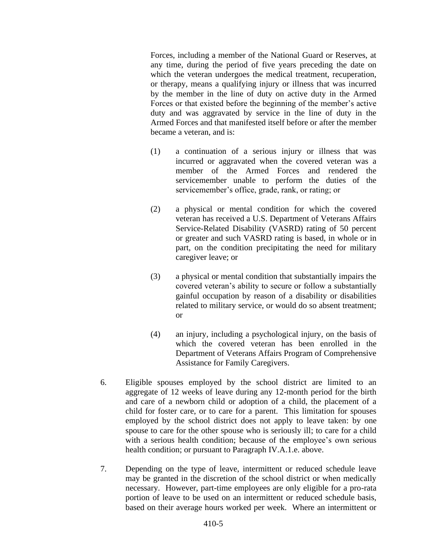Forces, including a member of the National Guard or Reserves, at any time, during the period of five years preceding the date on which the veteran undergoes the medical treatment, recuperation, or therapy, means a qualifying injury or illness that was incurred by the member in the line of duty on active duty in the Armed Forces or that existed before the beginning of the member's active duty and was aggravated by service in the line of duty in the Armed Forces and that manifested itself before or after the member became a veteran, and is:

- (1) a continuation of a serious injury or illness that was incurred or aggravated when the covered veteran was a member of the Armed Forces and rendered the servicemember unable to perform the duties of the servicemember's office, grade, rank, or rating; or
- (2) a physical or mental condition for which the covered veteran has received a U.S. Department of Veterans Affairs Service-Related Disability (VASRD) rating of 50 percent or greater and such VASRD rating is based, in whole or in part, on the condition precipitating the need for military caregiver leave; or
- (3) a physical or mental condition that substantially impairs the covered veteran's ability to secure or follow a substantially gainful occupation by reason of a disability or disabilities related to military service, or would do so absent treatment; or
- (4) an injury, including a psychological injury, on the basis of which the covered veteran has been enrolled in the Department of Veterans Affairs Program of Comprehensive Assistance for Family Caregivers.
- 6. Eligible spouses employed by the school district are limited to an aggregate of 12 weeks of leave during any 12-month period for the birth and care of a newborn child or adoption of a child, the placement of a child for foster care, or to care for a parent. This limitation for spouses employed by the school district does not apply to leave taken: by one spouse to care for the other spouse who is seriously ill; to care for a child with a serious health condition; because of the employee's own serious health condition; or pursuant to Paragraph IV.A.1.e. above.
- 7. Depending on the type of leave, intermittent or reduced schedule leave may be granted in the discretion of the school district or when medically necessary. However, part-time employees are only eligible for a pro-rata portion of leave to be used on an intermittent or reduced schedule basis, based on their average hours worked per week. Where an intermittent or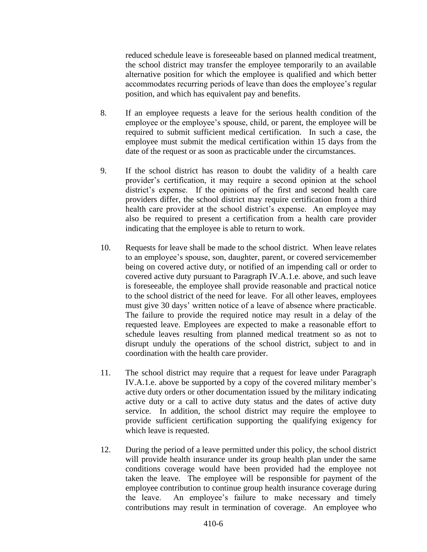reduced schedule leave is foreseeable based on planned medical treatment, the school district may transfer the employee temporarily to an available alternative position for which the employee is qualified and which better accommodates recurring periods of leave than does the employee's regular position, and which has equivalent pay and benefits.

- 8. If an employee requests a leave for the serious health condition of the employee or the employee's spouse, child, or parent, the employee will be required to submit sufficient medical certification. In such a case, the employee must submit the medical certification within 15 days from the date of the request or as soon as practicable under the circumstances.
- 9. If the school district has reason to doubt the validity of a health care provider's certification, it may require a second opinion at the school district's expense. If the opinions of the first and second health care providers differ, the school district may require certification from a third health care provider at the school district's expense. An employee may also be required to present a certification from a health care provider indicating that the employee is able to return to work.
- 10. Requests for leave shall be made to the school district. When leave relates to an employee's spouse, son, daughter, parent, or covered servicemember being on covered active duty, or notified of an impending call or order to covered active duty pursuant to Paragraph IV.A.1.e. above, and such leave is foreseeable, the employee shall provide reasonable and practical notice to the school district of the need for leave. For all other leaves, employees must give 30 days' written notice of a leave of absence where practicable. The failure to provide the required notice may result in a delay of the requested leave. Employees are expected to make a reasonable effort to schedule leaves resulting from planned medical treatment so as not to disrupt unduly the operations of the school district, subject to and in coordination with the health care provider.
- 11. The school district may require that a request for leave under Paragraph IV.A.1.e. above be supported by a copy of the covered military member's active duty orders or other documentation issued by the military indicating active duty or a call to active duty status and the dates of active duty service. In addition, the school district may require the employee to provide sufficient certification supporting the qualifying exigency for which leave is requested.
- 12. During the period of a leave permitted under this policy, the school district will provide health insurance under its group health plan under the same conditions coverage would have been provided had the employee not taken the leave. The employee will be responsible for payment of the employee contribution to continue group health insurance coverage during the leave. An employee's failure to make necessary and timely contributions may result in termination of coverage. An employee who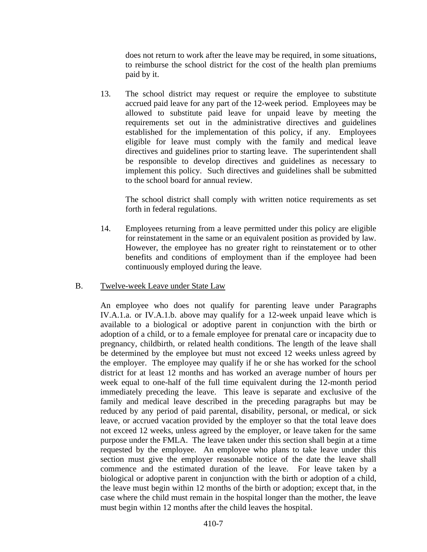does not return to work after the leave may be required, in some situations, to reimburse the school district for the cost of the health plan premiums paid by it.

13. The school district may request or require the employee to substitute accrued paid leave for any part of the 12-week period. Employees may be allowed to substitute paid leave for unpaid leave by meeting the requirements set out in the administrative directives and guidelines established for the implementation of this policy, if any. Employees eligible for leave must comply with the family and medical leave directives and guidelines prior to starting leave. The superintendent shall be responsible to develop directives and guidelines as necessary to implement this policy. Such directives and guidelines shall be submitted to the school board for annual review.

The school district shall comply with written notice requirements as set forth in federal regulations.

14. Employees returning from a leave permitted under this policy are eligible for reinstatement in the same or an equivalent position as provided by law. However, the employee has no greater right to reinstatement or to other benefits and conditions of employment than if the employee had been continuously employed during the leave.

#### B. Twelve-week Leave under State Law

An employee who does not qualify for parenting leave under Paragraphs IV.A.1.a. or IV.A.1.b. above may qualify for a 12-week unpaid leave which is available to a biological or adoptive parent in conjunction with the birth or adoption of a child, or to a female employee for prenatal care or incapacity due to pregnancy, childbirth, or related health conditions. The length of the leave shall be determined by the employee but must not exceed 12 weeks unless agreed by the employer. The employee may qualify if he or she has worked for the school district for at least 12 months and has worked an average number of hours per week equal to one-half of the full time equivalent during the 12-month period immediately preceding the leave. This leave is separate and exclusive of the family and medical leave described in the preceding paragraphs but may be reduced by any period of paid parental, disability, personal, or medical, or sick leave, or accrued vacation provided by the employer so that the total leave does not exceed 12 weeks, unless agreed by the employer, or leave taken for the same purpose under the FMLA. The leave taken under this section shall begin at a time requested by the employee. An employee who plans to take leave under this section must give the employer reasonable notice of the date the leave shall commence and the estimated duration of the leave. For leave taken by a biological or adoptive parent in conjunction with the birth or adoption of a child, the leave must begin within 12 months of the birth or adoption; except that, in the case where the child must remain in the hospital longer than the mother, the leave must begin within 12 months after the child leaves the hospital.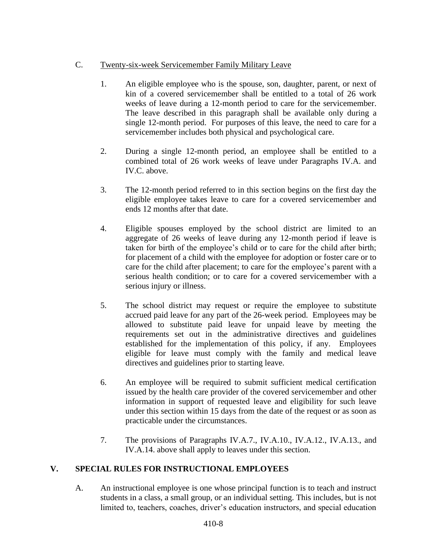# C. Twenty-six-week Servicemember Family Military Leave

- 1. An eligible employee who is the spouse, son, daughter, parent, or next of kin of a covered servicemember shall be entitled to a total of 26 work weeks of leave during a 12-month period to care for the servicemember. The leave described in this paragraph shall be available only during a single 12-month period. For purposes of this leave, the need to care for a servicemember includes both physical and psychological care.
- 2. During a single 12-month period, an employee shall be entitled to a combined total of 26 work weeks of leave under Paragraphs IV.A. and IV.C. above.
- 3. The 12-month period referred to in this section begins on the first day the eligible employee takes leave to care for a covered servicemember and ends 12 months after that date.
- 4. Eligible spouses employed by the school district are limited to an aggregate of 26 weeks of leave during any 12-month period if leave is taken for birth of the employee's child or to care for the child after birth; for placement of a child with the employee for adoption or foster care or to care for the child after placement; to care for the employee's parent with a serious health condition; or to care for a covered servicemember with a serious injury or illness.
- 5. The school district may request or require the employee to substitute accrued paid leave for any part of the 26-week period. Employees may be allowed to substitute paid leave for unpaid leave by meeting the requirements set out in the administrative directives and guidelines established for the implementation of this policy, if any. Employees eligible for leave must comply with the family and medical leave directives and guidelines prior to starting leave.
- 6. An employee will be required to submit sufficient medical certification issued by the health care provider of the covered servicemember and other information in support of requested leave and eligibility for such leave under this section within 15 days from the date of the request or as soon as practicable under the circumstances.
- 7. The provisions of Paragraphs IV.A.7., IV.A.10., IV.A.12., IV.A.13., and IV.A.14. above shall apply to leaves under this section.

# **V. SPECIAL RULES FOR INSTRUCTIONAL EMPLOYEES**

A. An instructional employee is one whose principal function is to teach and instruct students in a class, a small group, or an individual setting. This includes, but is not limited to, teachers, coaches, driver's education instructors, and special education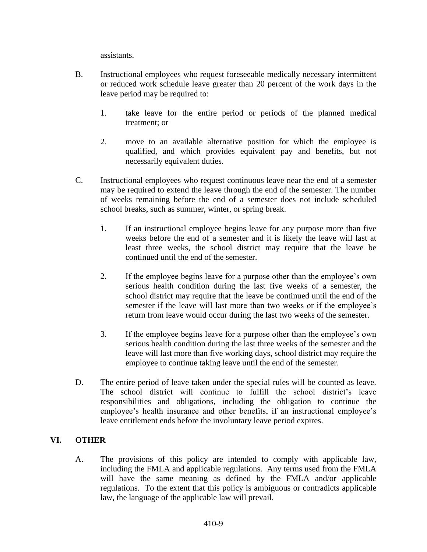assistants.

- B. Instructional employees who request foreseeable medically necessary intermittent or reduced work schedule leave greater than 20 percent of the work days in the leave period may be required to:
	- 1. take leave for the entire period or periods of the planned medical treatment; or
	- 2. move to an available alternative position for which the employee is qualified, and which provides equivalent pay and benefits, but not necessarily equivalent duties.
- C. Instructional employees who request continuous leave near the end of a semester may be required to extend the leave through the end of the semester. The number of weeks remaining before the end of a semester does not include scheduled school breaks, such as summer, winter, or spring break.
	- 1. If an instructional employee begins leave for any purpose more than five weeks before the end of a semester and it is likely the leave will last at least three weeks, the school district may require that the leave be continued until the end of the semester.
	- 2. If the employee begins leave for a purpose other than the employee's own serious health condition during the last five weeks of a semester, the school district may require that the leave be continued until the end of the semester if the leave will last more than two weeks or if the employee's return from leave would occur during the last two weeks of the semester.
	- 3. If the employee begins leave for a purpose other than the employee's own serious health condition during the last three weeks of the semester and the leave will last more than five working days, school district may require the employee to continue taking leave until the end of the semester.
- D. The entire period of leave taken under the special rules will be counted as leave. The school district will continue to fulfill the school district's leave responsibilities and obligations, including the obligation to continue the employee's health insurance and other benefits, if an instructional employee's leave entitlement ends before the involuntary leave period expires.

# **VI. OTHER**

A. The provisions of this policy are intended to comply with applicable law, including the FMLA and applicable regulations. Any terms used from the FMLA will have the same meaning as defined by the FMLA and/or applicable regulations. To the extent that this policy is ambiguous or contradicts applicable law, the language of the applicable law will prevail.